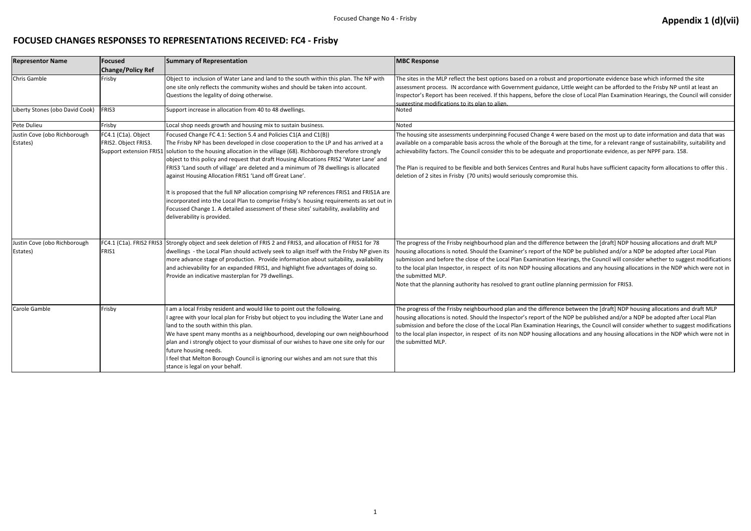#### **FOCUSED CHANGES RESPONSES TO REPRESENTATIONS RECEIVED: FC4 - Frisby**

| <b>Representor Name</b>                  | <b>Focused</b>                              | <b>Summary of Representation</b>                                                                                                                                                                                                                                                                                                                                                                                                                                                                                                                                                                                                                                                                                                                                                                                                         | <b>MBC Response</b>                                                                                                                                                                                                                                                                                                                                                                                      |
|------------------------------------------|---------------------------------------------|------------------------------------------------------------------------------------------------------------------------------------------------------------------------------------------------------------------------------------------------------------------------------------------------------------------------------------------------------------------------------------------------------------------------------------------------------------------------------------------------------------------------------------------------------------------------------------------------------------------------------------------------------------------------------------------------------------------------------------------------------------------------------------------------------------------------------------------|----------------------------------------------------------------------------------------------------------------------------------------------------------------------------------------------------------------------------------------------------------------------------------------------------------------------------------------------------------------------------------------------------------|
|                                          | <b>Change/Policy Ref</b>                    |                                                                                                                                                                                                                                                                                                                                                                                                                                                                                                                                                                                                                                                                                                                                                                                                                                          |                                                                                                                                                                                                                                                                                                                                                                                                          |
| Chris Gamble                             | Frisby                                      | Object to inclusion of Water Lane and land to the south within this plan. The NP with<br>one site only reflects the community wishes and should be taken into account.<br>Questions the legality of doing otherwise.                                                                                                                                                                                                                                                                                                                                                                                                                                                                                                                                                                                                                     | The sites in the MLP reflect the best options based on a robust and pro<br>assessment process. IN accordance with Government guidance, Little v<br>Inspector's Report has been received. If this happens, before the close<br>suggesting modifications to its plan to align.                                                                                                                             |
| Liberty Stones (obo David Cook)          | <b>FRIS3</b>                                | Support increase in allocation from 40 to 48 dwellings.                                                                                                                                                                                                                                                                                                                                                                                                                                                                                                                                                                                                                                                                                                                                                                                  | Noted                                                                                                                                                                                                                                                                                                                                                                                                    |
| Pete Dulieu                              | Frisby                                      | Local shop needs growth and housing mix to sustain business.                                                                                                                                                                                                                                                                                                                                                                                                                                                                                                                                                                                                                                                                                                                                                                             | Noted                                                                                                                                                                                                                                                                                                                                                                                                    |
| Justin Cove (obo Richborough<br>Estates) | FC4.1 (C1a). Object<br>FRIS2. Object FRIS3. | Focused Change FC 4.1: Section 5.4 and Policies C1(A and C1(B))<br>The Frisby NP has been developed in close cooperation to the LP and has arrived at a<br>Support extension FRIS1 solution to the housing allocation in the village (68). Richborough therefore strongly<br>object to this policy and request that draft Housing Allocations FRIS2 'Water Lane' and<br>FRIS3 'Land south of village' are deleted and a minimum of 78 dwellings is allocated<br>against Housing Allocation FRIS1 'Land off Great Lane'.<br>It is proposed that the full NP allocation comprising NP references FRIS1 and FRIS1A are<br>incorporated into the Local Plan to comprise Frisby's housing requirements as set out in<br>Focussed Change 1. A detailed assessment of these sites' suitability, availability and<br>deliverability is provided. | The housing site assessments underpinning Focused Change 4 were bas<br>available on a comparable basis across the whole of the Borough at the<br>achievability factors. The Council consider this to be adequate and prop<br>The Plan is required to be flexible and both Services Centres and Rural I<br>deletion of 2 sites in Frisby (70 units) would seriously compromise this.                      |
| Justin Cove (obo Richborough<br>Estates) | FRIS1                                       | FC4.1 (C1a). FRIS2 FRIS3 Strongly object and seek deletion of FRIS 2 and FRIS3, and allocation of FRIS1 for 78<br>dwellings - the Local Plan should actively seek to align itself with the Frisby NP given its<br>more advance stage of production. Provide information about suitability, availability<br>and achievability for an expanded FRIS1, and highlight five advantages of doing so.<br>Provide an indicative masterplan for 79 dwellings.                                                                                                                                                                                                                                                                                                                                                                                     | The progress of the Frisby neighbourhood plan and the difference betw<br>housing allocations is noted. Should the Examiner's report of the NDP b<br>submission and before the close of the Local Plan Examination Hearings<br>to the local plan Inspector, in respect of its non NDP housing allocation<br>the submitted MLP.<br>Note that the planning authority has resolved to grant outline planning |
| Carole Gamble                            | Frisby                                      | am a local Frisby resident and would like to point out the following.<br>agree with your local plan for Frisby but object to you including the Water Lane and<br>land to the south within this plan.<br>We have spent many months as a neighbourhood, developing our own neighbourhood<br>plan and i strongly object to your dismissal of our wishes to have one site only for our<br>future housing needs.<br>feel that Melton Borough Council is ignoring our wishes and am not sure that this<br>stance is legal on your behalf.                                                                                                                                                                                                                                                                                                      | The progress of the Frisby neighbourhood plan and the difference betw<br>housing allocations is noted. Should the Inspector's report of the NDP b<br>submission and before the close of the Local Plan Examination Hearings<br>to the local plan inspector, in respect of its non NDP housing allocation<br>the submitted MLP.                                                                           |

I proportionate evidence base which informed the site ittle weight can be afforded to the Frisby NP until at least an Iose of Local Plan Examination Hearings, the Council will consider

re based on the most up to date information and data that was at the time, for a relevant range of sustainability, suitability and I proportionate evidence, as per NPPF para. 158.

Iural hubs have sufficient capacity form allocations to offer this .

between the [draft] NDP housing allocations and draft MLP NDP be published and/or a NDP be adopted after Local Plan arings, the Council will consider whether to suggest modifications tations and any housing allocations in the NDP which were not in

nning permission for FRIS3.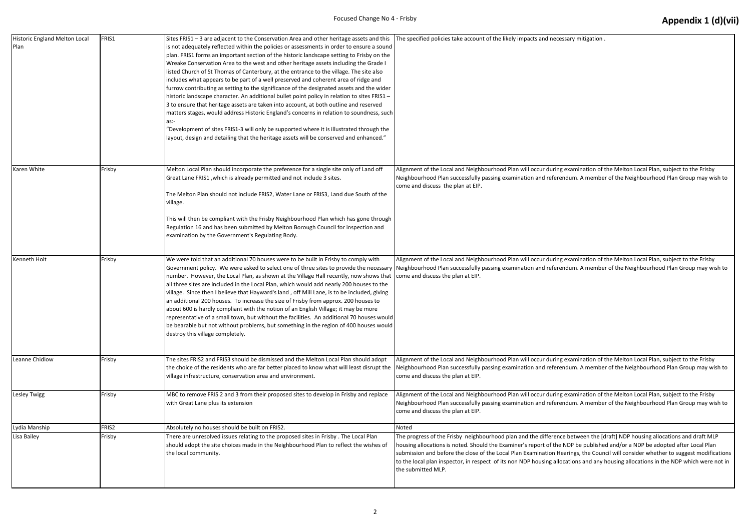| Historic England Melton Local<br>Plan | FRIS1  | Sites FRIS1 - 3 are adjacent to the Conservation Area and other heritage assets and this<br>is not adequately reflected within the policies or assessments in order to ensure a sound<br>plan. FRIS1 forms an important section of the historic landscape setting to Frisby on the<br>Wreake Conservation Area to the west and other heritage assets including the Grade I<br>listed Church of St Thomas of Canterbury, at the entrance to the village. The site also<br>includes what appears to be part of a well preserved and coherent area of ridge and<br>furrow contributing as setting to the significance of the designated assets and the wider<br>historic landscape character. An additional bullet point policy in relation to sites FRIS1 -<br>3 to ensure that heritage assets are taken into account, at both outline and reserved<br>matters stages, would address Historic England's concerns in relation to soundness, such<br>as:-<br>"Development of sites FRIS1-3 will only be supported where it is illustrated through the<br>layout, design and detailing that the heritage assets will be conserved and enhanced." | The specified policies take account of the likely impacts and necess                                                                                                                                                                                                                                         |
|---------------------------------------|--------|----------------------------------------------------------------------------------------------------------------------------------------------------------------------------------------------------------------------------------------------------------------------------------------------------------------------------------------------------------------------------------------------------------------------------------------------------------------------------------------------------------------------------------------------------------------------------------------------------------------------------------------------------------------------------------------------------------------------------------------------------------------------------------------------------------------------------------------------------------------------------------------------------------------------------------------------------------------------------------------------------------------------------------------------------------------------------------------------------------------------------------------------|--------------------------------------------------------------------------------------------------------------------------------------------------------------------------------------------------------------------------------------------------------------------------------------------------------------|
| Karen White                           | Frisby | Melton Local Plan should incorporate the preference for a single site only of Land off<br>Great Lane FRIS1, which is already permitted and not include 3 sites.<br>The Melton Plan should not include FRIS2, Water Lane or FRIS3, Land due South of the<br>village.<br>This will then be compliant with the Frisby Neighbourhood Plan which has gone through<br>Regulation 16 and has been submitted by Melton Borough Council for inspection and<br>examination by the Government's Regulating Body.                                                                                                                                                                                                                                                                                                                                                                                                                                                                                                                                                                                                                                        | Alignment of the Local and Neighbourhood Plan will occur during e<br>Neighbourhood Plan successfully passing examination and referend<br>come and discuss the plan at EIP.                                                                                                                                   |
| Kenneth Holt                          | Frisby | We were told that an additional 70 houses were to be built in Frisby to comply with<br>Government policy. We were asked to select one of three sites to provide the necessary<br>number. However, the Local Plan, as shown at the Village Hall recently, now shows that<br>all three sites are included in the Local Plan, which would add nearly 200 houses to the<br>village. Since then I believe that Hayward's land, off Mill Lane, is to be included, giving<br>an additional 200 houses. To increase the size of Frisby from approx. 200 houses to<br>about 600 is hardly compliant with the notion of an English Village; it may be more<br>representative of a small town, but without the facilities. An additional 70 houses would<br>be bearable but not without problems, but something in the region of 400 houses would<br>destroy this village completely.                                                                                                                                                                                                                                                                   | Alignment of the Local and Neighbourhood Plan will occur during e<br>Neighbourhood Plan successfully passing examination and referend<br>come and discuss the plan at EIP.                                                                                                                                   |
| Leanne Chidlow                        | Frisby | The sites FRIS2 and FRIS3 should be dismissed and the Melton Local Plan should adopt<br>the choice of the residents who are far better placed to know what will least disrupt the<br>village infrastructure, conservation area and environment.                                                                                                                                                                                                                                                                                                                                                                                                                                                                                                                                                                                                                                                                                                                                                                                                                                                                                              | Alignment of the Local and Neighbourhood Plan will occur during e<br>Neighbourhood Plan successfully passing examination and referend<br>come and discuss the plan at EIP.                                                                                                                                   |
| Lesley Twigg                          | Frisby | MBC to remove FRIS 2 and 3 from their proposed sites to develop in Frisby and replace<br>with Great Lane plus its extension                                                                                                                                                                                                                                                                                                                                                                                                                                                                                                                                                                                                                                                                                                                                                                                                                                                                                                                                                                                                                  | Alignment of the Local and Neighbourhood Plan will occur during e<br>Neighbourhood Plan successfully passing examination and referend<br>come and discuss the plan at EIP.                                                                                                                                   |
| Lydia Manship                         | FRIS2  | Absolutely no houses should be built on FRIS2.                                                                                                                                                                                                                                                                                                                                                                                                                                                                                                                                                                                                                                                                                                                                                                                                                                                                                                                                                                                                                                                                                               | <b>Noted</b>                                                                                                                                                                                                                                                                                                 |
| Lisa Bailey                           | Frisby | There are unresolved issues relating to the proposed sites in Frisby. The Local Plan<br>should adopt the site choices made in the Neighbourhood Plan to reflect the wishes of<br>the local community.                                                                                                                                                                                                                                                                                                                                                                                                                                                                                                                                                                                                                                                                                                                                                                                                                                                                                                                                        | The progress of the Frisby neighbourhood plan and the difference<br>housing allocations is noted. Should the Examiner's report of the N<br>submission and before the close of the Local Plan Examination Hea<br>to the local plan inspector, in respect of its non NDP housing allocal<br>the submitted MLP. |

sary mitigation .

examination of the Melton Local Plan, subject to the Frisby ndum. A member of the Neighbourhood Plan Group may wish to

examination of the Melton Local Plan, subject to the Frisby ndum. A member of the Neighbourhood Plan Group may wish to

examination of the Melton Local Plan, subject to the Frisby ndum. A member of the Neighbourhood Plan Group may wish to

examination of the Melton Local Plan, subject to the Frisby ndum. A member of the Neighbourhood Plan Group may wish to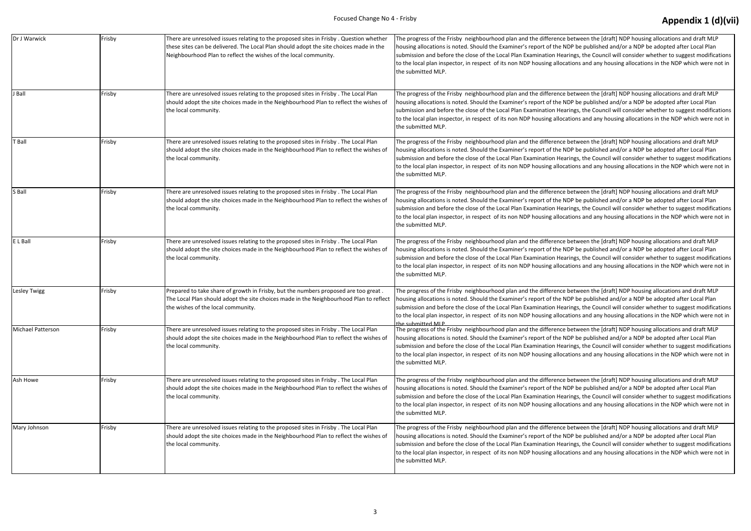| Dr J Warwick      | Frisby | There are unresolved issues relating to the proposed sites in Frisby . Question whether<br>these sites can be delivered. The Local Plan should adopt the site choices made in the<br>Neighbourhood Plan to reflect the wishes of the local community. | The progress of the Frisby neighbourhood plan and the difference<br>housing allocations is noted. Should the Examiner's report of the N<br>submission and before the close of the Local Plan Examination Hea<br>to the local plan inspector, in respect of its non NDP housing alloc<br>the submitted MLP.                      |
|-------------------|--------|-------------------------------------------------------------------------------------------------------------------------------------------------------------------------------------------------------------------------------------------------------|---------------------------------------------------------------------------------------------------------------------------------------------------------------------------------------------------------------------------------------------------------------------------------------------------------------------------------|
| J Ball            | Frisby | There are unresolved issues relating to the proposed sites in Frisby. The Local Plan<br>should adopt the site choices made in the Neighbourhood Plan to reflect the wishes of<br>the local community.                                                 | The progress of the Frisby neighbourhood plan and the difference<br>housing allocations is noted. Should the Examiner's report of the N<br>submission and before the close of the Local Plan Examination Hea<br>to the local plan inspector, in respect of its non NDP housing alloc<br>the submitted MLP.                      |
| T Ball            | Frisby | There are unresolved issues relating to the proposed sites in Frisby. The Local Plan<br>should adopt the site choices made in the Neighbourhood Plan to reflect the wishes of<br>the local community.                                                 | The progress of the Frisby neighbourhood plan and the difference<br>housing allocations is noted. Should the Examiner's report of the N<br>submission and before the close of the Local Plan Examination Hea<br>to the local plan inspector, in respect of its non NDP housing alloc<br>the submitted MLP.                      |
| S Ball            | Frisby | There are unresolved issues relating to the proposed sites in Frisby. The Local Plan<br>should adopt the site choices made in the Neighbourhood Plan to reflect the wishes of<br>the local community.                                                 | The progress of the Frisby neighbourhood plan and the difference<br>housing allocations is noted. Should the Examiner's report of the N<br>submission and before the close of the Local Plan Examination Hea<br>to the local plan inspector, in respect of its non NDP housing alloc<br>the submitted MLP.                      |
| E L Ball          | Frisby | There are unresolved issues relating to the proposed sites in Frisby. The Local Plan<br>should adopt the site choices made in the Neighbourhood Plan to reflect the wishes of<br>the local community.                                                 | The progress of the Frisby neighbourhood plan and the difference<br>housing allocations is noted. Should the Examiner's report of the N<br>submission and before the close of the Local Plan Examination Hea<br>to the local plan inspector, in respect of its non NDP housing alloc<br>the submitted MLP.                      |
| Lesley Twigg      | Frisby | Prepared to take share of growth in Frisby, but the numbers proposed are too great.<br>The Local Plan should adopt the site choices made in the Neighbourhood Plan to reflect<br>the wishes of the local community.                                   | The progress of the Frisby neighbourhood plan and the difference<br>housing allocations is noted. Should the Examiner's report of the N<br>submission and before the close of the Local Plan Examination Hea<br>to the local plan inspector, in respect of its non NDP housing alloc                                            |
| Michael Patterson | Frisby | There are unresolved issues relating to the proposed sites in Frisby. The Local Plan<br>should adopt the site choices made in the Neighbourhood Plan to reflect the wishes of<br>the local community.                                                 | the submitted MIP<br>The progress of the Frisby neighbourhood plan and the difference<br>housing allocations is noted. Should the Examiner's report of the N<br>submission and before the close of the Local Plan Examination Hea<br>to the local plan inspector, in respect of its non NDP housing alloc<br>the submitted MLP. |
| Ash Howe          | Frisby | There are unresolved issues relating to the proposed sites in Frisby. The Local Plan<br>should adopt the site choices made in the Neighbourhood Plan to reflect the wishes of<br>the local community.                                                 | The progress of the Frisby neighbourhood plan and the difference<br>housing allocations is noted. Should the Examiner's report of the N<br>submission and before the close of the Local Plan Examination Hea<br>to the local plan inspector, in respect of its non NDP housing alloc<br>the submitted MLP.                      |
| Mary Johnson      | Frisby | There are unresolved issues relating to the proposed sites in Frisby. The Local Plan<br>should adopt the site choices made in the Neighbourhood Plan to reflect the wishes of<br>the local community.                                                 | The progress of the Frisby neighbourhood plan and the difference<br>housing allocations is noted. Should the Examiner's report of the N<br>submission and before the close of the Local Plan Examination Hea<br>to the local plan inspector, in respect of its non NDP housing alloc<br>the submitted MLP.                      |

between the [draft] NDP housing allocations and draft MLP NDP be published and/or a NDP be adopted after Local Plan arings, the Council will consider whether to suggest modifications tations and any housing allocations in the NDP which were not in

between the [draft] NDP housing allocations and draft MLP IDP be published and/or a NDP be adopted after Local Plan arings, the Council will consider whether to suggest modifications tations and any housing allocations in the NDP which were not in

between the [draft] NDP housing allocations and draft MLP NDP be published and/or a NDP be adopted after Local Plan arings, the Council will consider whether to suggest modifications tations and any housing allocations in the NDP which were not in

between the [draft] NDP housing allocations and draft MLP NDP be published and/or a NDP be adopted after Local Plan arings, the Council will consider whether to suggest modifications tations and any housing allocations in the NDP which were not in

between the [draft] NDP housing allocations and draft MLP NDP be published and/or a NDP be adopted after Local Plan arings, the Council will consider whether to suggest modifications tations and any housing allocations in the NDP which were not in

between the [draft] NDP housing allocations and draft MLP NDP be published and/or a NDP be adopted after Local Plan arings, the Council will consider whether to suggest modifications tations and any housing allocations in the NDP which were not in

between the [draft] NDP housing allocations and draft MLP NDP be published and/or a NDP be adopted after Local Plan arings, the Council will consider whether to suggest modifications tations and any housing allocations in the NDP which were not in

between the [draft] NDP housing allocations and draft MLP NDP be published and/or a NDP be adopted after Local Plan arings, the Council will consider whether to suggest modifications tations and any housing allocations in the NDP which were not in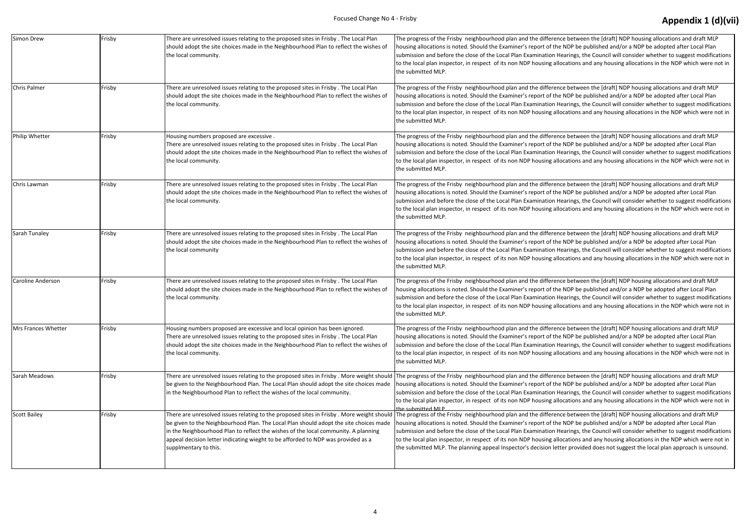| Simon Drew          | Frisby | There are unresolved issues relating to the proposed sites in Frisby. The Local Plan<br>should adopt the site choices made in the Neighbourhood Plan to reflect the wishes of<br>the local community.                                                                                                                                                                                | The progress of the Frisby neighbourhood plan and the difference<br>housing allocations is noted. Should the Examiner's report of the N<br>submission and before the close of the Local Plan Examination Hea<br>to the local plan inspector, in respect of its non NDP housing alloc<br>the submitted MLP.                                                 |
|---------------------|--------|--------------------------------------------------------------------------------------------------------------------------------------------------------------------------------------------------------------------------------------------------------------------------------------------------------------------------------------------------------------------------------------|------------------------------------------------------------------------------------------------------------------------------------------------------------------------------------------------------------------------------------------------------------------------------------------------------------------------------------------------------------|
| Chris Palmer        | Frisby | There are unresolved issues relating to the proposed sites in Frisby. The Local Plan<br>should adopt the site choices made in the Neighbourhood Plan to reflect the wishes of<br>the local community.                                                                                                                                                                                | The progress of the Frisby neighbourhood plan and the difference<br>housing allocations is noted. Should the Examiner's report of the N<br>submission and before the close of the Local Plan Examination Hea<br>to the local plan inspector, in respect of its non NDP housing alloc<br>the submitted MLP.                                                 |
| Philip Whetter      | Frisby | Housing numbers proposed are excessive.<br>There are unresolved issues relating to the proposed sites in Frisby. The Local Plan<br>should adopt the site choices made in the Neighbourhood Plan to reflect the wishes of<br>the local community.                                                                                                                                     | The progress of the Frisby neighbourhood plan and the difference<br>housing allocations is noted. Should the Examiner's report of the N<br>submission and before the close of the Local Plan Examination Hea<br>to the local plan inspector, in respect of its non NDP housing alloc<br>the submitted MLP.                                                 |
| Chris Lawman        | Frisby | There are unresolved issues relating to the proposed sites in Frisby. The Local Plan<br>should adopt the site choices made in the Neighbourhood Plan to reflect the wishes of<br>the local community.                                                                                                                                                                                | The progress of the Frisby neighbourhood plan and the difference<br>housing allocations is noted. Should the Examiner's report of the N<br>submission and before the close of the Local Plan Examination Hea<br>to the local plan inspector, in respect of its non NDP housing alloc<br>the submitted MLP.                                                 |
| Sarah Tunaley       | Frisby | There are unresolved issues relating to the proposed sites in Frisby. The Local Plan<br>should adopt the site choices made in the Neighbourhood Plan to reflect the wishes of<br>the local community                                                                                                                                                                                 | The progress of the Frisby neighbourhood plan and the difference<br>housing allocations is noted. Should the Examiner's report of the N<br>submission and before the close of the Local Plan Examination Hea<br>to the local plan inspector, in respect of its non NDP housing alloc<br>the submitted MLP.                                                 |
| Caroline Anderson   | Frisby | There are unresolved issues relating to the proposed sites in Frisby. The Local Plan<br>should adopt the site choices made in the Neighbourhood Plan to reflect the wishes of<br>the local community.                                                                                                                                                                                | The progress of the Frisby neighbourhood plan and the difference<br>housing allocations is noted. Should the Examiner's report of the N<br>submission and before the close of the Local Plan Examination Hea<br>to the local plan inspector, in respect of its non NDP housing alloc<br>the submitted MLP.                                                 |
| Mrs Frances Whetter | Frisby | Housing numbers proposed are excessive and local opinion has been ignored.<br>There are unresolved issues relating to the proposed sites in Frisby. The Local Plan<br>should adopt the site choices made in the Neighbourhood Plan to reflect the wishes of<br>the local community.                                                                                                  | The progress of the Frisby neighbourhood plan and the difference<br>housing allocations is noted. Should the Examiner's report of the N<br>submission and before the close of the Local Plan Examination Hea<br>to the local plan inspector, in respect of its non NDP housing alloc<br>the submitted MLP.                                                 |
| Sarah Meadows       | Frisby | There are unresolved issues relating to the proposed sites in Frisby . More weight should The progress of the Frisby neighbourhood plan and the difference<br>be given to the Neighbourhood Plan. The Local Plan should adopt the site choices made<br>in the Neighbourhood Plan to reflect the wishes of the local community.                                                       | housing allocations is noted. Should the Examiner's report of the N<br>submission and before the close of the Local Plan Examination Hea<br>to the local plan inspector, in respect of its non NDP housing alloc<br>the submitted MLP                                                                                                                      |
| <b>Scott Bailey</b> | Frisby | There are unresolved issues relating to the proposed sites in Frisby. More weight should<br>be given to the Neighbourhood Plan. The Local Plan should adopt the site choices made<br>in the Neighbourhood Plan to reflect the wishes of the local community. A planning<br>appeal decision letter indicating wieght to be afforded to NDP was provided as a<br>supplmentary to this. | The progress of the Frisby neighbourhood plan and the difference<br>housing allocations is noted. Should the Examiner's report of the N<br>submission and before the close of the Local Plan Examination Hea<br>to the local plan inspector, in respect of its non NDP housing alloc<br>the submitted MLP. The planning appeal Inspector's decision letter |
|                     |        |                                                                                                                                                                                                                                                                                                                                                                                      |                                                                                                                                                                                                                                                                                                                                                            |

between the [draft] NDP housing allocations and draft MLP NDP be published and/or a NDP be adopted after Local Plan arings, the Council will consider whether to suggest modifications tations and any housing allocations in the NDP which were not in

between the [draft] NDP housing allocations and draft MLP NDP be published and/or a NDP be adopted after Local Plan arings, the Council will consider whether to suggest modifications tations and any housing allocations in the NDP which were not in

between the [draft] NDP housing allocations and draft MLP NDP be published and/or a NDP be adopted after Local Plan arings, the Council will consider whether to suggest modifications tations and any housing allocations in the NDP which were not in

between the [draft] NDP housing allocations and draft MLP NDP be published and/or a NDP be adopted after Local Plan arings, the Council will consider whether to suggest modifications tations and any housing allocations in the NDP which were not in

between the [draft] NDP housing allocations and draft MLP NDP be published and/or a NDP be adopted after Local Plan arings, the Council will consider whether to suggest modifications tations and any housing allocations in the NDP which were not in

between the [draft] NDP housing allocations and draft MLP NDP be published and/or a NDP be adopted after Local Plan arings, the Council will consider whether to suggest modifications tations and any housing allocations in the NDP which were not in

between the [draft] NDP housing allocations and draft MLP NDP be published and/or a NDP be adopted after Local Plan arings, the Council will consider whether to suggest modifications tations and any housing allocations in the NDP which were not in

between the [draft] NDP housing allocations and draft MLP NDP be published and/or a NDP be adopted after Local Plan arings, the Council will consider whether to suggest modifications tations and any housing allocations in the NDP which were not in

between the [draft] NDP housing allocations and draft MLP NDP be published and/or a NDP be adopted after Local Plan arings, the Council will consider whether to suggest modifications tations and any housing allocations in the NDP which were not in r provided does not suggest the local plan approach is unsound.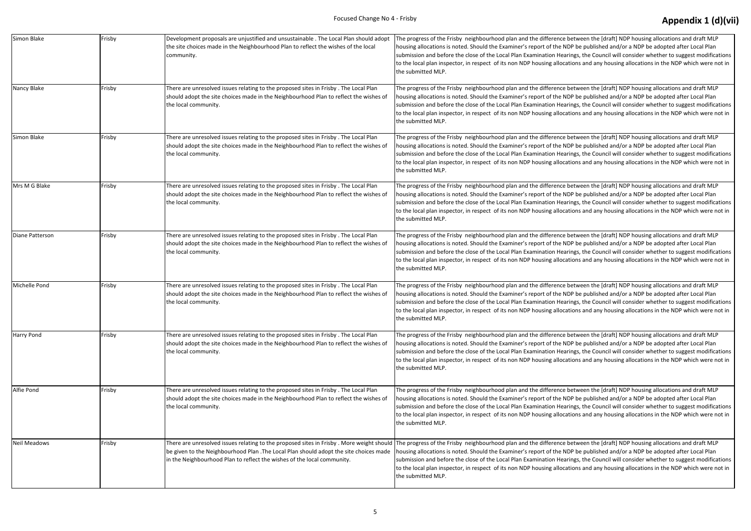| Simon Blake     | Frisby | Development proposals are unjustified and unsustainable . The Local Plan should adopt<br>the site choices made in the Neighbourhood Plan to reflect the wishes of the local<br>community.                                                                                                                                      | The progress of the Frisby neighbourhood plan and the difference<br>housing allocations is noted. Should the Examiner's report of the N<br>submission and before the close of the Local Plan Examination Hea<br>to the local plan inspector, in respect of its non NDP housing allocal<br>the submitted MLP. |
|-----------------|--------|--------------------------------------------------------------------------------------------------------------------------------------------------------------------------------------------------------------------------------------------------------------------------------------------------------------------------------|--------------------------------------------------------------------------------------------------------------------------------------------------------------------------------------------------------------------------------------------------------------------------------------------------------------|
| Nancy Blake     | Frisby | There are unresolved issues relating to the proposed sites in Frisby. The Local Plan<br>should adopt the site choices made in the Neighbourhood Plan to reflect the wishes of<br>the local community.                                                                                                                          | The progress of the Frisby neighbourhood plan and the difference<br>housing allocations is noted. Should the Examiner's report of the N<br>submission and before the close of the Local Plan Examination Hea<br>to the local plan inspector, in respect of its non NDP housing allocal<br>the submitted MLP. |
| Simon Blake     | Frisby | There are unresolved issues relating to the proposed sites in Frisby. The Local Plan<br>should adopt the site choices made in the Neighbourhood Plan to reflect the wishes of<br>the local community.                                                                                                                          | The progress of the Frisby neighbourhood plan and the difference<br>housing allocations is noted. Should the Examiner's report of the N<br>submission and before the close of the Local Plan Examination Hea<br>to the local plan inspector, in respect of its non NDP housing allocal<br>the submitted MLP. |
| Mrs M G Blake   | Frisby | There are unresolved issues relating to the proposed sites in Frisby. The Local Plan<br>should adopt the site choices made in the Neighbourhood Plan to reflect the wishes of<br>the local community.                                                                                                                          | The progress of the Frisby neighbourhood plan and the difference<br>housing allocations is noted. Should the Examiner's report of the N<br>submission and before the close of the Local Plan Examination Hea<br>to the local plan inspector, in respect of its non NDP housing alloca<br>the submitted MLP.  |
| Diane Patterson | Frisby | There are unresolved issues relating to the proposed sites in Frisby. The Local Plan<br>should adopt the site choices made in the Neighbourhood Plan to reflect the wishes of<br>the local community.                                                                                                                          | The progress of the Frisby neighbourhood plan and the difference<br>housing allocations is noted. Should the Examiner's report of the N<br>submission and before the close of the Local Plan Examination Hea<br>to the local plan inspector, in respect of its non NDP housing allocal<br>the submitted MLP. |
| Michelle Pond   | Frisby | There are unresolved issues relating to the proposed sites in Frisby. The Local Plan<br>should adopt the site choices made in the Neighbourhood Plan to reflect the wishes of<br>the local community.                                                                                                                          | The progress of the Frisby neighbourhood plan and the difference<br>housing allocations is noted. Should the Examiner's report of the N<br>submission and before the close of the Local Plan Examination Hea<br>to the local plan inspector, in respect of its non NDP housing allocal<br>the submitted MLP. |
| Harry Pond      | Frisby | There are unresolved issues relating to the proposed sites in Frisby. The Local Plan<br>should adopt the site choices made in the Neighbourhood Plan to reflect the wishes of<br>the local community.                                                                                                                          | The progress of the Frisby neighbourhood plan and the difference<br>housing allocations is noted. Should the Examiner's report of the N<br>submission and before the close of the Local Plan Examination Hea<br>to the local plan inspector, in respect of its non NDP housing allocal<br>the submitted MLP. |
| Alfie Pond      | Frisby | There are unresolved issues relating to the proposed sites in Frisby. The Local Plan<br>should adopt the site choices made in the Neighbourhood Plan to reflect the wishes of<br>the local community.                                                                                                                          | The progress of the Frisby neighbourhood plan and the difference<br>housing allocations is noted. Should the Examiner's report of the N<br>submission and before the close of the Local Plan Examination Hea<br>to the local plan inspector, in respect of its non NDP housing allocal<br>the submitted MLP. |
| Neil Meadows    | Frisby | There are unresolved issues relating to the proposed sites in Frisby . More weight should The progress of the Frisby neighbourhood plan and the difference<br>be given to the Neighbourhood Plan .The Local Plan should adopt the site choices made<br>in the Neighbourhood Plan to reflect the wishes of the local community. | housing allocations is noted. Should the Examiner's report of the N<br>submission and before the close of the Local Plan Examination Hea<br>to the local plan inspector, in respect of its non NDP housing allocal<br>the submitted MLP.                                                                     |

between the [draft] NDP housing allocations and draft MLP NDP be published and/or a NDP be adopted after Local Plan arings, the Council will consider whether to suggest modifications tations and any housing allocations in the NDP which were not in

between the [draft] NDP housing allocations and draft MLP NDP be published and/or a NDP be adopted after Local Plan arings, the Council will consider whether to suggest modifications tations and any housing allocations in the NDP which were not in

between the [draft] NDP housing allocations and draft MLP NDP be published and/or a NDP be adopted after Local Plan arings, the Council will consider whether to suggest modifications tations and any housing allocations in the NDP which were not in

between the [draft] NDP housing allocations and draft MLP NDP be published and/or a NDP be adopted after Local Plan arings, the Council will consider whether to suggest modifications to the local and any housing allocations in the NDP which were not in

between the [draft] NDP housing allocations and draft MLP NDP be published and/or a NDP be adopted after Local Plan arings, the Council will consider whether to suggest modifications tations and any housing allocations in the NDP which were not in

between the [draft] NDP housing allocations and draft MLP NDP be published and/or a NDP be adopted after Local Plan arings, the Council will consider whether to suggest modifications tations and any housing allocations in the NDP which were not in

between the [draft] NDP housing allocations and draft MLP NDP be published and/or a NDP be adopted after Local Plan arings, the Council will consider whether to suggest modifications ations and any housing allocations in the NDP which were not in

between the [draft] NDP housing allocations and draft MLP NDP be published and/or a NDP be adopted after Local Plan arings, the Council will consider whether to suggest modifications ations and any housing allocations in the NDP which were not in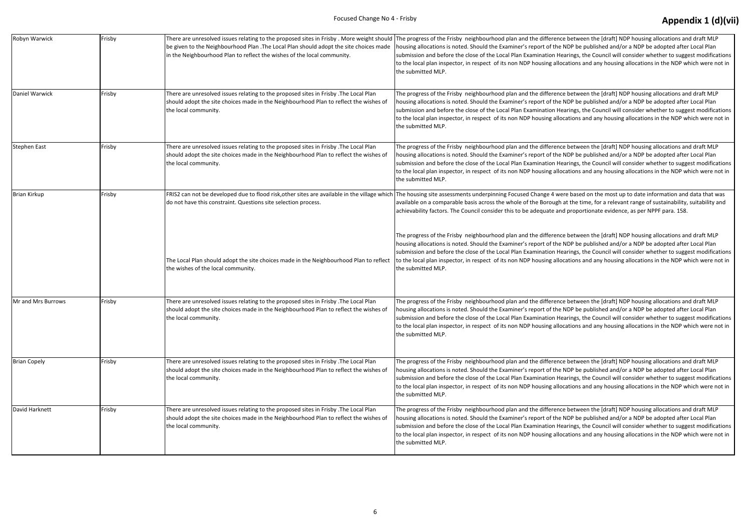| Robyn Warwick       | Frisby | There are unresolved issues relating to the proposed sites in Frisby . More weight should The progress of the Frisby neighbourhood plan and the difference<br>be given to the Neighbourhood Plan .The Local Plan should adopt the site choices made<br>in the Neighbourhood Plan to reflect the wishes of the local community. | housing allocations is noted. Should the Examiner's report of the N<br>submission and before the close of the Local Plan Examination Hea<br>to the local plan inspector, in respect of its non NDP housing alloca<br>the submitted MLP.                                                                      |
|---------------------|--------|--------------------------------------------------------------------------------------------------------------------------------------------------------------------------------------------------------------------------------------------------------------------------------------------------------------------------------|--------------------------------------------------------------------------------------------------------------------------------------------------------------------------------------------------------------------------------------------------------------------------------------------------------------|
| Daniel Warwick      | Frisby | There are unresolved issues relating to the proposed sites in Frisby .The Local Plan<br>should adopt the site choices made in the Neighbourhood Plan to reflect the wishes of<br>the local community.                                                                                                                          | The progress of the Frisby neighbourhood plan and the difference<br>housing allocations is noted. Should the Examiner's report of the N<br>submission and before the close of the Local Plan Examination Hea<br>to the local plan inspector, in respect of its non NDP housing alloca<br>the submitted MLP.  |
| <b>Stephen East</b> | Frisby | There are unresolved issues relating to the proposed sites in Frisby .The Local Plan<br>should adopt the site choices made in the Neighbourhood Plan to reflect the wishes of<br>the local community.                                                                                                                          | The progress of the Frisby neighbourhood plan and the difference<br>housing allocations is noted. Should the Examiner's report of the N<br>submission and before the close of the Local Plan Examination Hea<br>to the local plan inspector, in respect of its non NDP housing alloca<br>the submitted MLP.  |
| <b>Brian Kirkup</b> | Frisby | FRIS2 can not be developed due to flood risk, other sites are available in the village which The housing site assessments underpinning Focused Change 4 wer<br>do not have this constraint. Questions site selection process.                                                                                                  | available on a comparable basis across the whole of the Borough a<br>achievability factors. The Council consider this to be adequate and                                                                                                                                                                     |
|                     |        | The Local Plan should adopt the site choices made in the Neighbourhood Plan to reflect<br>the wishes of the local community.                                                                                                                                                                                                   | The progress of the Frisby neighbourhood plan and the difference<br>housing allocations is noted. Should the Examiner's report of the N<br>submission and before the close of the Local Plan Examination Hea<br>to the local plan inspector, in respect of its non NDP housing allocal<br>the submitted MLP. |
| Mr and Mrs Burrows  | Frisby | There are unresolved issues relating to the proposed sites in Frisby .The Local Plan<br>should adopt the site choices made in the Neighbourhood Plan to reflect the wishes of<br>the local community.                                                                                                                          | The progress of the Frisby neighbourhood plan and the difference<br>housing allocations is noted. Should the Examiner's report of the N<br>submission and before the close of the Local Plan Examination Hea<br>to the local plan inspector, in respect of its non NDP housing alloca<br>the submitted MLP.  |
| <b>Brian Copely</b> | Frisby | There are unresolved issues relating to the proposed sites in Frisby .The Local Plan<br>should adopt the site choices made in the Neighbourhood Plan to reflect the wishes of<br>the local community.                                                                                                                          | The progress of the Frisby neighbourhood plan and the difference<br>housing allocations is noted. Should the Examiner's report of the N<br>submission and before the close of the Local Plan Examination Hea<br>to the local plan inspector, in respect of its non NDP housing alloca<br>the submitted MLP.  |
| David Harknett      | Frisby | There are unresolved issues relating to the proposed sites in Frisby .The Local Plan<br>should adopt the site choices made in the Neighbourhood Plan to reflect the wishes of<br>the local community.                                                                                                                          | The progress of the Frisby neighbourhood plan and the difference<br>housing allocations is noted. Should the Examiner's report of the N<br>submission and before the close of the Local Plan Examination Hea<br>to the local plan inspector, in respect of its non NDP housing alloca<br>the submitted MLP.  |

between the [draft] NDP housing allocations and draft MLP NDP be published and/or a NDP be adopted after Local Plan arings, the Council will consider whether to suggest modifications tations and any housing allocations in the NDP which were not in

between the [draft] NDP housing allocations and draft MLP NDP be published and/or a NDP be adopted after Local Plan arings, the Council will consider whether to suggest modifications tations and any housing allocations in the NDP which were not in

between the [draft] NDP housing allocations and draft MLP NDP be published and/or a NDP be adopted after Local Plan arings, the Council will consider whether to suggest modifications tations and any housing allocations in the NDP which were not in

e based on the most up to date information and data that was at the time, for a relevant range of sustainability, suitability and I proportionate evidence, as per NPPF para. 158.

between the [draft] NDP housing allocations and draft MLP NDP be published and/or a NDP be adopted after Local Plan arings, the Council will consider whether to suggest modifications tations and any housing allocations in the NDP which were not in

between the [draft] NDP housing allocations and draft MLP NDP be published and/or a NDP be adopted after Local Plan arings, the Council will consider whether to suggest modifications tations and any housing allocations in the NDP which were not in

between the [draft] NDP housing allocations and draft MLP NDP be published and/or a NDP be adopted after Local Plan arings, the Council will consider whether to suggest modifications tations and any housing allocations in the NDP which were not in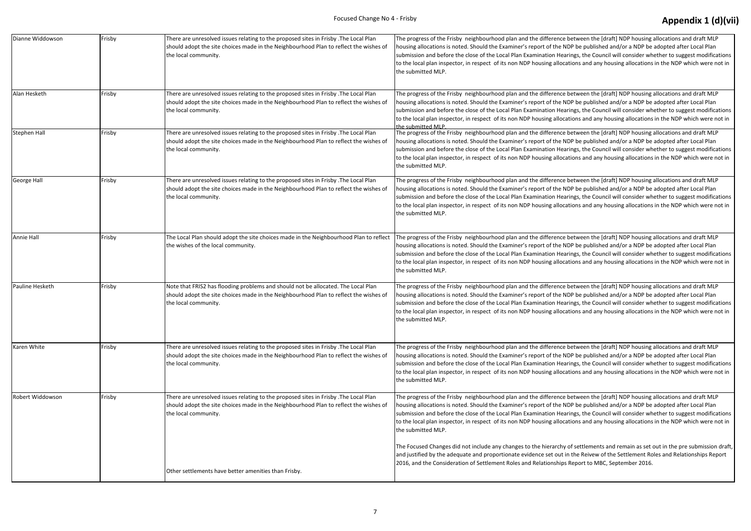| Dianne Widdowson    | Frisby | There are unresolved issues relating to the proposed sites in Frisby . The Local Plan<br>should adopt the site choices made in the Neighbourhood Plan to reflect the wishes of<br>the local community. | The progress of the Frisby neighbourhood plan and the difference<br>housing allocations is noted. Should the Examiner's report of the N<br>submission and before the close of the Local Plan Examination Hea<br>to the local plan inspector, in respect of its non NDP housing alloca<br>the submitted MLP.  |
|---------------------|--------|--------------------------------------------------------------------------------------------------------------------------------------------------------------------------------------------------------|--------------------------------------------------------------------------------------------------------------------------------------------------------------------------------------------------------------------------------------------------------------------------------------------------------------|
| Alan Hesketh        | Frisby | There are unresolved issues relating to the proposed sites in Frisby . The Local Plan<br>should adopt the site choices made in the Neighbourhood Plan to reflect the wishes of<br>the local community. | The progress of the Frisby neighbourhood plan and the difference<br>housing allocations is noted. Should the Examiner's report of the N<br>submission and before the close of the Local Plan Examination Hea<br>to the local plan inspector, in respect of its non NDP housing allocal<br>the submitted MLP  |
| <b>Stephen Hall</b> | Frisby | There are unresolved issues relating to the proposed sites in Frisby . The Local Plan<br>should adopt the site choices made in the Neighbourhood Plan to reflect the wishes of<br>the local community. | The progress of the Frisby neighbourhood plan and the difference<br>housing allocations is noted. Should the Examiner's report of the N<br>submission and before the close of the Local Plan Examination Hea<br>to the local plan inspector, in respect of its non NDP housing allocal<br>the submitted MLP. |
| George Hall         | Frisby | There are unresolved issues relating to the proposed sites in Frisby .The Local Plan<br>should adopt the site choices made in the Neighbourhood Plan to reflect the wishes of<br>the local community.  | The progress of the Frisby neighbourhood plan and the difference<br>housing allocations is noted. Should the Examiner's report of the N<br>submission and before the close of the Local Plan Examination Hea<br>to the local plan inspector, in respect of its non NDP housing allocal<br>the submitted MLP. |
| Annie Hall          | Frisby | The Local Plan should adopt the site choices made in the Neighbourhood Plan to reflect<br>the wishes of the local community.                                                                           | The progress of the Frisby neighbourhood plan and the difference<br>housing allocations is noted. Should the Examiner's report of the N<br>submission and before the close of the Local Plan Examination Hea<br>to the local plan inspector, in respect of its non NDP housing allocal<br>the submitted MLP. |
| Pauline Hesketh     | Frisby | Note that FRIS2 has flooding problems and should not be allocated. The Local Plan<br>should adopt the site choices made in the Neighbourhood Plan to reflect the wishes of<br>the local community.     | The progress of the Frisby neighbourhood plan and the difference<br>housing allocations is noted. Should the Examiner's report of the N<br>submission and before the close of the Local Plan Examination Hea<br>to the local plan inspector, in respect of its non NDP housing allocal<br>the submitted MLP. |
| Karen White         | Frisby | There are unresolved issues relating to the proposed sites in Frisby .The Local Plan<br>should adopt the site choices made in the Neighbourhood Plan to reflect the wishes of<br>the local community.  | The progress of the Frisby neighbourhood plan and the difference<br>housing allocations is noted. Should the Examiner's report of the N<br>submission and before the close of the Local Plan Examination Hea<br>to the local plan inspector, in respect of its non NDP housing alloca<br>the submitted MLP.  |
| Robert Widdowson    | Frisby | There are unresolved issues relating to the proposed sites in Frisby .The Local Plan<br>should adopt the site choices made in the Neighbourhood Plan to reflect the wishes of<br>the local community.  | The progress of the Frisby neighbourhood plan and the difference<br>housing allocations is noted. Should the Examiner's report of the N<br>submission and before the close of the Local Plan Examination Hea<br>to the local plan inspector, in respect of its non NDP housing alloca<br>the submitted MLP.  |
|                     |        | Other settlements have better amenities than Frisby.                                                                                                                                                   | The Focused Changes did not include any changes to the hierarchy<br>and justified by the adequate and proportionate evidence set out in<br>2016, and the Consideration of Settlement Roles and Relationships                                                                                                 |

between the [draft] NDP housing allocations and draft MLP NDP be published and/or a NDP be adopted after Local Plan rings, the Council will consider whether to suggest modifications ations and any housing allocations in the NDP which were not in

between the [draft] NDP housing allocations and draft MLP NDP be published and/or a NDP be adopted after Local Plan rings, the Council will consider whether to suggest modifications ations and any housing allocations in the NDP which were not in

between the [draft] NDP housing allocations and draft MLP NDP be published and/or a NDP be adopted after Local Plan rings, the Council will consider whether to suggest modifications ations and any housing allocations in the NDP which were not in

between the [draft] NDP housing allocations and draft MLP NDP be published and/or a NDP be adopted after Local Plan rings, the Council will consider whether to suggest modifications ations and any housing allocations in the NDP which were not in

between the [draft] NDP housing allocations and draft MLP NDP be published and/or a NDP be adopted after Local Plan rings, the Council will consider whether to suggest modifications ations and any housing allocations in the NDP which were not in

between the [draft] NDP housing allocations and draft MLP NDP be published and/or a NDP be adopted after Local Plan rings, the Council will consider whether to suggest modifications ations and any housing allocations in the NDP which were not in

between the [draft] NDP housing allocations and draft MLP NDP be published and/or a NDP be adopted after Local Plan rings, the Council will consider whether to suggest modifications ations and any housing allocations in the NDP which were not in

between the [draft] NDP housing allocations and draft MLP NDP be published and/or a NDP be adopted after Local Plan rings, the Council will consider whether to suggest modifications ations and any housing allocations in the NDP which were not in

of settlements and remain as set out in the pre submission draft in the Reivew of the Settlement Roles and Relationships Report Report to MBC, September 2016.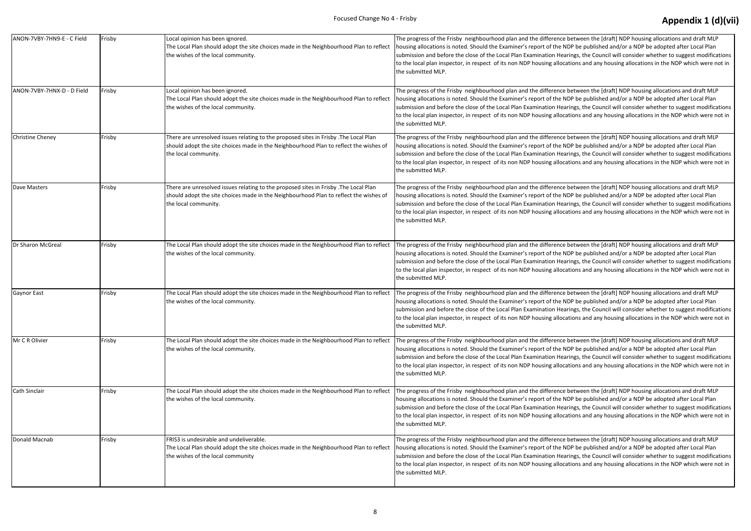| ANON-7VBY-7HN9-E - C Field | Frisby | Local opinion has been ignored.<br>The Local Plan should adopt the site choices made in the Neighbourhood Plan to reflect<br>the wishes of the local community.                                       | The progress of the Frisby neighbourhood plan and the difference<br>housing allocations is noted. Should the Examiner's report of the N<br>submission and before the close of the Local Plan Examination Hea<br>to the local plan inspector, in respect of its non NDP housing alloca<br>the submitted MLP.  |
|----------------------------|--------|-------------------------------------------------------------------------------------------------------------------------------------------------------------------------------------------------------|--------------------------------------------------------------------------------------------------------------------------------------------------------------------------------------------------------------------------------------------------------------------------------------------------------------|
| ANON-7VBY-7HNX-D - D Field | Frisby | Local opinion has been ignored.<br>The Local Plan should adopt the site choices made in the Neighbourhood Plan to reflect<br>the wishes of the local community.                                       | The progress of the Frisby neighbourhood plan and the difference<br>housing allocations is noted. Should the Examiner's report of the N<br>submission and before the close of the Local Plan Examination Hea<br>to the local plan inspector, in respect of its non NDP housing alloca<br>the submitted MLP.  |
| <b>Christine Cheney</b>    | Frisby | There are unresolved issues relating to the proposed sites in Frisby .The Local Plan<br>should adopt the site choices made in the Neighbourhood Plan to reflect the wishes of<br>the local community. | The progress of the Frisby neighbourhood plan and the difference<br>housing allocations is noted. Should the Examiner's report of the N<br>submission and before the close of the Local Plan Examination Hea<br>to the local plan inspector, in respect of its non NDP housing allocal<br>the submitted MLP. |
| Dave Masters               | Frisby | There are unresolved issues relating to the proposed sites in Frisby .The Local Plan<br>should adopt the site choices made in the Neighbourhood Plan to reflect the wishes of<br>the local community. | The progress of the Frisby neighbourhood plan and the difference<br>housing allocations is noted. Should the Examiner's report of the N<br>submission and before the close of the Local Plan Examination Hea<br>to the local plan inspector, in respect of its non NDP housing alloca<br>the submitted MLP.  |
| Dr Sharon McGreal          | Frisby | The Local Plan should adopt the site choices made in the Neighbourhood Plan to reflect<br>the wishes of the local community.                                                                          | The progress of the Frisby neighbourhood plan and the difference<br>housing allocations is noted. Should the Examiner's report of the N<br>submission and before the close of the Local Plan Examination Hea<br>to the local plan inspector, in respect of its non NDP housing alloca<br>the submitted MLP.  |
| <b>Gaynor East</b>         | Frisby | The Local Plan should adopt the site choices made in the Neighbourhood Plan to reflect<br>the wishes of the local community.                                                                          | The progress of the Frisby neighbourhood plan and the difference<br>housing allocations is noted. Should the Examiner's report of the N<br>submission and before the close of the Local Plan Examination Hea<br>to the local plan inspector, in respect of its non NDP housing allocal<br>the submitted MLP. |
| Mr C R Olivier             | Frisby | The Local Plan should adopt the site choices made in the Neighbourhood Plan to reflect<br>the wishes of the local community.                                                                          | The progress of the Frisby neighbourhood plan and the difference<br>housing allocations is noted. Should the Examiner's report of the N<br>submission and before the close of the Local Plan Examination Hea<br>to the local plan inspector, in respect of its non NDP housing alloca<br>the submitted MLP.  |
| Cath Sinclair              | Frisby | The Local Plan should adopt the site choices made in the Neighbourhood Plan to reflect<br>the wishes of the local community.                                                                          | The progress of the Frisby neighbourhood plan and the difference<br>housing allocations is noted. Should the Examiner's report of the N<br>submission and before the close of the Local Plan Examination Hea<br>to the local plan inspector, in respect of its non NDP housing alloca<br>the submitted MLP.  |
| Donald Macnab              | Frisby | FRIS3 is undesirable and undeliverable.<br>The Local Plan should adopt the site choices made in the Neighbourhood Plan to reflect<br>the wishes of the local community                                | The progress of the Frisby neighbourhood plan and the difference<br>housing allocations is noted. Should the Examiner's report of the N<br>submission and before the close of the Local Plan Examination Hea<br>to the local plan inspector, in respect of its non NDP housing alloca<br>the submitted MLP.  |

between the [draft] NDP housing allocations and draft MLP NDP be published and/or a NDP be adopted after Local Plan arings, the Council will consider whether to suggest modifications tations and any housing allocations in the NDP which were not in

between the [draft] NDP housing allocations and draft MLP NDP be published and/or a NDP be adopted after Local Plan arings, the Council will consider whether to suggest modifications tations and any housing allocations in the NDP which were not in

between the [draft] NDP housing allocations and draft MLP NDP be published and/or a NDP be adopted after Local Plan arings, the Council will consider whether to suggest modifications tations and any housing allocations in the NDP which were not in

between the [draft] NDP housing allocations and draft MLP NDP be published and/or a NDP be adopted after Local Plan arings, the Council will consider whether to suggest modifications tations and any housing allocations in the NDP which were not in

between the [draft] NDP housing allocations and draft MLP NDP be published and/or a NDP be adopted after Local Plan arings, the Council will consider whether to suggest modifications tations and any housing allocations in the NDP which were not in

the progress of the progress of the plane is between the [draft] NDP housing allocations and draft MLP NDP be published and/or a NDP be adopted after Local Plan arings, the Council will consider whether to suggest modifications tations and any housing allocations in the NDP which were not in

between the [draft] NDP housing allocations and draft MLP NDP be published and/or a NDP be adopted after Local Plan arings, the Council will consider whether to suggest modifications ations and any housing allocations in the NDP which were not in

between the [draft] NDP housing allocations and draft MLP NDP be published and/or a NDP be adopted after Local Plan arings, the Council will consider whether to suggest modifications tations and any housing allocations in the NDP which were not in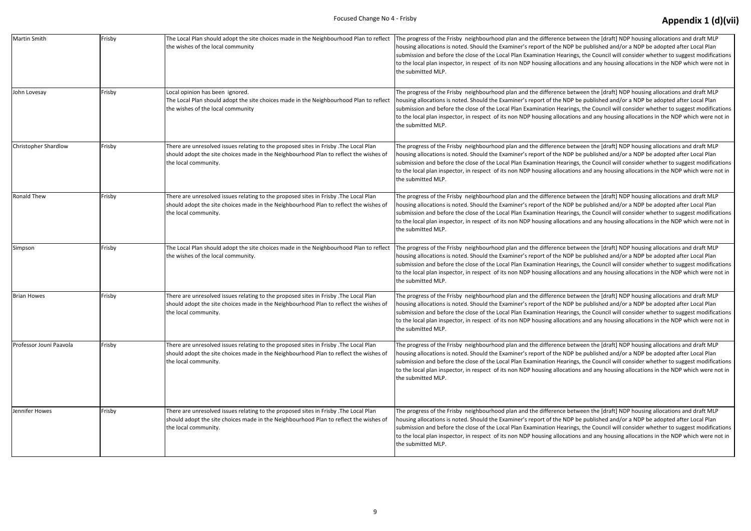| Martin Smith            | Frisby | The Local Plan should adopt the site choices made in the Neighbourhood Plan to reflect<br>the wishes of the local community                                                                            | The progress of the Frisby neighbourhood plan and the difference<br>housing allocations is noted. Should the Examiner's report of the N<br>submission and before the close of the Local Plan Examination Hea<br>to the local plan inspector, in respect of its non NDP housing allocal<br>the submitted MLP. |
|-------------------------|--------|--------------------------------------------------------------------------------------------------------------------------------------------------------------------------------------------------------|--------------------------------------------------------------------------------------------------------------------------------------------------------------------------------------------------------------------------------------------------------------------------------------------------------------|
| John Lovesay            | Frisby | Local opinion has been ignored.<br>The Local Plan should adopt the site choices made in the Neighbourhood Plan to reflect<br>the wishes of the local community                                         | The progress of the Frisby neighbourhood plan and the difference<br>housing allocations is noted. Should the Examiner's report of the N<br>submission and before the close of the Local Plan Examination Hea<br>to the local plan inspector, in respect of its non NDP housing allocal<br>the submitted MLP. |
| Christopher Shardlow    | Frisby | There are unresolved issues relating to the proposed sites in Frisby .The Local Plan<br>should adopt the site choices made in the Neighbourhood Plan to reflect the wishes of<br>the local community.  | The progress of the Frisby neighbourhood plan and the difference<br>housing allocations is noted. Should the Examiner's report of the N<br>submission and before the close of the Local Plan Examination Hea<br>to the local plan inspector, in respect of its non NDP housing allocal<br>the submitted MLP. |
| <b>Ronald Thew</b>      | Frisby | There are unresolved issues relating to the proposed sites in Frisby .The Local Plan<br>should adopt the site choices made in the Neighbourhood Plan to reflect the wishes of<br>the local community.  | The progress of the Frisby neighbourhood plan and the difference<br>housing allocations is noted. Should the Examiner's report of the N<br>submission and before the close of the Local Plan Examination Hea<br>to the local plan inspector, in respect of its non NDP housing allocal<br>the submitted MLP. |
| Simpson                 | Frisby | The Local Plan should adopt the site choices made in the Neighbourhood Plan to reflect<br>the wishes of the local community.                                                                           | The progress of the Frisby neighbourhood plan and the difference<br>housing allocations is noted. Should the Examiner's report of the N<br>submission and before the close of the Local Plan Examination Hea<br>to the local plan inspector, in respect of its non NDP housing allocal<br>the submitted MLP. |
| <b>Brian Howes</b>      | Frisby | There are unresolved issues relating to the proposed sites in Frisby .The Local Plan<br>should adopt the site choices made in the Neighbourhood Plan to reflect the wishes of<br>the local community.  | The progress of the Frisby neighbourhood plan and the difference<br>housing allocations is noted. Should the Examiner's report of the N<br>submission and before the close of the Local Plan Examination Hea<br>to the local plan inspector, in respect of its non NDP housing allocal<br>the submitted MLP. |
| Professor Jouni Paavola | Frisby | There are unresolved issues relating to the proposed sites in Frisby .The Local Plan<br>should adopt the site choices made in the Neighbourhood Plan to reflect the wishes of<br>the local community.  | The progress of the Frisby neighbourhood plan and the difference<br>housing allocations is noted. Should the Examiner's report of the N<br>submission and before the close of the Local Plan Examination Hea<br>to the local plan inspector, in respect of its non NDP housing allocal<br>the submitted MLP. |
| Jennifer Howes          | Frisby | There are unresolved issues relating to the proposed sites in Frisby . The Local Plan<br>should adopt the site choices made in the Neighbourhood Plan to reflect the wishes of<br>the local community. | The progress of the Frisby neighbourhood plan and the difference<br>housing allocations is noted. Should the Examiner's report of the N<br>submission and before the close of the Local Plan Examination Hea<br>to the local plan inspector, in respect of its non NDP housing allocal<br>the submitted MLP. |

between the [draft] NDP housing allocations and draft MLP NDP be published and/or a NDP be adopted after Local Plan arings, the Council will consider whether to suggest modifications tations and any housing allocations in the NDP which were not in

between the [draft] NDP housing allocations and draft MLP NDP be published and/or a NDP be adopted after Local Plan arings, the Council will consider whether to suggest modifications tations and any housing allocations in the NDP which were not in

between the [draft] NDP housing allocations and draft MLP NDP be published and/or a NDP be adopted after Local Plan arings, the Council will consider whether to suggest modifications to the local and any housing allocations in the NDP which were not in

between the [draft] NDP housing allocations and draft MLP NDP be published and/or a NDP be adopted after Local Plan arings, the Council will consider whether to suggest modifications tations and any housing allocations in the NDP which were not in

between the [draft] NDP housing allocations and draft MLP NDP be published and/or a NDP be adopted after Local Plan arings, the Council will consider whether to suggest modifications tations and any housing allocations in the NDP which were not in

between the [draft] NDP housing allocations and draft MLP NDP be published and/or a NDP be adopted after Local Plan arings, the Council will consider whether to suggest modifications tations and any housing allocations in the NDP which were not in

between the [draft] NDP housing allocations and draft MLP NDP be published and/or a NDP be adopted after Local Plan arings, the Council will consider whether to suggest modifications tations and any housing allocations in the NDP which were not in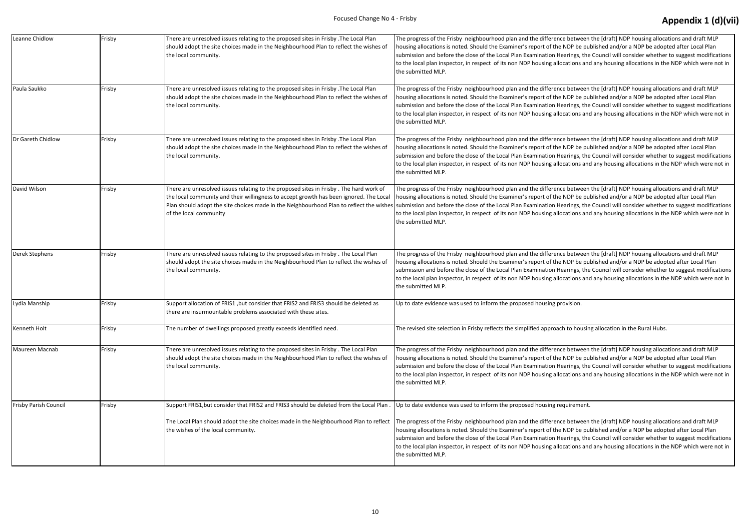| Leanne Chidlow        | Frisby | There are unresolved issues relating to the proposed sites in Frisby . The Local Plan<br>should adopt the site choices made in the Neighbourhood Plan to reflect the wishes of<br>the local community.                                                                                                | The progress of the Frisby neighbourhood plan and the difference betwo<br>housing allocations is noted. Should the Examiner's report of the NDP be<br>submission and before the close of the Local Plan Examination Hearings,<br>to the local plan inspector, in respect of its non NDP housing allocations<br>the submitted MLP. |
|-----------------------|--------|-------------------------------------------------------------------------------------------------------------------------------------------------------------------------------------------------------------------------------------------------------------------------------------------------------|-----------------------------------------------------------------------------------------------------------------------------------------------------------------------------------------------------------------------------------------------------------------------------------------------------------------------------------|
| Paula Saukko          | Frisby | There are unresolved issues relating to the proposed sites in Frisby .The Local Plan<br>should adopt the site choices made in the Neighbourhood Plan to reflect the wishes of<br>the local community.                                                                                                 | The progress of the Frisby neighbourhood plan and the difference betwe<br>housing allocations is noted. Should the Examiner's report of the NDP be<br>submission and before the close of the Local Plan Examination Hearings,<br>to the local plan inspector, in respect of its non NDP housing allocations<br>the submitted MLP. |
| Dr Gareth Chidlow     | Frisby | There are unresolved issues relating to the proposed sites in Frisby . The Local Plan<br>should adopt the site choices made in the Neighbourhood Plan to reflect the wishes of<br>the local community.                                                                                                | The progress of the Frisby neighbourhood plan and the difference betwo<br>housing allocations is noted. Should the Examiner's report of the NDP be<br>submission and before the close of the Local Plan Examination Hearings,<br>to the local plan inspector, in respect of its non NDP housing allocations<br>the submitted MLP. |
| David Wilson          | Frisby | There are unresolved issues relating to the proposed sites in Frisby. The hard work of<br>the local community and their willingness to accept growth has been ignored. The Local<br>Plan should adopt the site choices made in the Neighbourhood Plan to reflect the wishes<br>of the local community | The progress of the Frisby neighbourhood plan and the difference betw<br>housing allocations is noted. Should the Examiner's report of the NDP be<br>submission and before the close of the Local Plan Examination Hearings,<br>to the local plan inspector, in respect of its non NDP housing allocations<br>the submitted MLP.  |
| Derek Stephens        | Frisby | There are unresolved issues relating to the proposed sites in Frisby. The Local Plan<br>should adopt the site choices made in the Neighbourhood Plan to reflect the wishes of<br>the local community.                                                                                                 | The progress of the Frisby neighbourhood plan and the difference betwo<br>housing allocations is noted. Should the Examiner's report of the NDP be<br>submission and before the close of the Local Plan Examination Hearings,<br>to the local plan inspector, in respect of its non NDP housing allocations<br>the submitted MLP. |
| Lydia Manship         | Frisby | Support allocation of FRIS1, but consider that FRIS2 and FRIS3 should be deleted as<br>there are insurmountable problems associated with these sites.                                                                                                                                                 | Up to date evidence was used to inform the proposed housing provision.                                                                                                                                                                                                                                                            |
| Kenneth Holt          | Frisby | The number of dwellings proposed greatly exceeds identified need.                                                                                                                                                                                                                                     | The revised site selection in Frisby reflects the simplified approach to ho                                                                                                                                                                                                                                                       |
| Maureen Macnab        | Frisby | There are unresolved issues relating to the proposed sites in Frisby. The Local Plan<br>should adopt the site choices made in the Neighbourhood Plan to reflect the wishes of<br>the local community.                                                                                                 | The progress of the Frisby neighbourhood plan and the difference betwe<br>housing allocations is noted. Should the Examiner's report of the NDP be<br>submission and before the close of the Local Plan Examination Hearings,<br>to the local plan inspector, in respect of its non NDP housing allocations<br>the submitted MLP. |
| Frisby Parish Council | Frisby | Support FRIS1, but consider that FRIS2 and FRIS3 should be deleted from the Local Plan.                                                                                                                                                                                                               | Up to date evidence was used to inform the proposed housing requirem                                                                                                                                                                                                                                                              |
|                       |        | The Local Plan should adopt the site choices made in the Neighbourhood Plan to reflect<br>the wishes of the local community.                                                                                                                                                                          | The progress of the Frisby neighbourhood plan and the difference betwo<br>housing allocations is noted. Should the Examiner's report of the NDP be<br>submission and before the close of the Local Plan Examination Hearings,<br>to the local plan inspector, in respect of its non NDP housing allocations<br>the submitted MLP. |

between the [draft] NDP housing allocations and draft MLP NDP be published and/or a NDP be adopted after Local Plan arings, the Council will consider whether to suggest modifications tations and any housing allocations in the NDP which were not in

between the [draft] NDP housing allocations and draft MLP NDP be published and/or a NDP be adopted after Local Plan arings, the Council will consider whether to suggest modifications to the local and any housing allocations in the NDP which were not in

between the [draft] NDP housing allocations and draft MLP NDP be published and/or a NDP be adopted after Local Plan arings, the Council will consider whether to suggest modifications to the local and any housing allocations in the NDP which were not in

between the [draft] NDP housing allocations and draft MLP NDP be published and/or a NDP be adopted after Local Plan arings, the Council will consider whether to suggest modifications tations and any housing allocations in the NDP which were not in

between the [draft] NDP housing allocations and draft MLP NDP be published and/or a NDP be adopted after Local Plan arings, the Council will consider whether to suggest modifications tations and any housing allocations in the NDP which were not in

to housing allocation in the Rural Hubs.

between the [draft] NDP housing allocations and draft MLP NDP be published and/or a NDP be adopted after Local Plan arings, the Council will consider whether to suggest modifications tations and any housing allocations in the NDP which were not in

uirement.